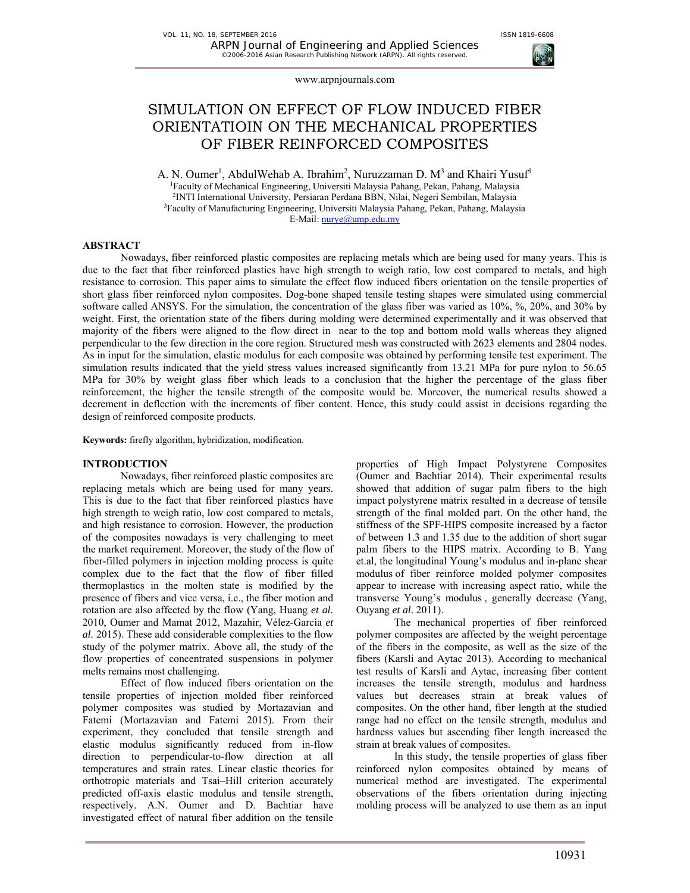# SIMULATION ON EFFECT OF FLOW INDUCED FIBER ORIENTATIOIN ON THE MECHANICAL PROPERTIES OF FIBER REINFORCED COMPOSITES

A. N. Oumer<sup>1</sup>, Abdul Wehab A. Ibrahim<sup>2</sup>, Nuruzzaman D.  $M^3$  and Khairi Yusuf<sup>1</sup> Faculty of Mechanical Engineering, Universiti Malaysia Pahang, Pekan, Pahang, Malaysia <sup>2</sup>INTI International University, Persiaran Perdana BBN, Nilai, Negeri Sembilan, Malaysia <sup>3</sup>Faculty of Manufacturing Engineering, Universiti Malaysia Pahang, Pekan, Pahang, Malaysia E-Mail: nurye@ump.edu.my

#### **ABSTRACT**

Nowadays, fiber reinforced plastic composites are replacing metals which are being used for many years. This is due to the fact that fiber reinforced plastics have high strength to weigh ratio, low cost compared to metals, and high resistance to corrosion. This paper aims to simulate the effect flow induced fibers orientation on the tensile properties of short glass fiber reinforced nylon composites. Dog-bone shaped tensile testing shapes were simulated using commercial software called ANSYS. For the simulation, the concentration of the glass fiber was varied as 10%, %, 20%, and 30% by weight. First, the orientation state of the fibers during molding were determined experimentally and it was observed that majority of the fibers were aligned to the flow direct in near to the top and bottom mold walls whereas they aligned perpendicular to the few direction in the core region. Structured mesh was constructed with 2623 elements and 2804 nodes. As in input for the simulation, elastic modulus for each composite was obtained by performing tensile test experiment. The simulation results indicated that the yield stress values increased significantly from 13.21 MPa for pure nylon to 56.65 MPa for 30% by weight glass fiber which leads to a conclusion that the higher the percentage of the glass fiber reinforcement, the higher the tensile strength of the composite would be. Moreover, the numerical results showed a decrement in deflection with the increments of fiber content. Hence, this study could assist in decisions regarding the design of reinforced composite products.

**Keywords:** firefly algorithm, hybridization, modification.

#### **INTRODUCTION**

Nowadays, fiber reinforced plastic composites are replacing metals which are being used for many years. This is due to the fact that fiber reinforced plastics have high strength to weigh ratio, low cost compared to metals, and high resistance to corrosion. However, the production of the composites nowadays is very challenging to meet the market requirement. Moreover, the study of the flow of fiber-filled polymers in injection molding process is quite complex due to the fact that the flow of fiber filled thermoplastics in the molten state is modified by the presence of fibers and vice versa, i.e., the fiber motion and rotation are also affected by the flow (Yang, Huang *et al.* 2010, Oumer and Mamat 2012, Mazahir, Vélez-García *et al.* 2015). These add considerable complexities to the flow study of the polymer matrix. Above all, the study of the flow properties of concentrated suspensions in polymer melts remains most challenging.

Effect of flow induced fibers orientation on the tensile properties of injection molded fiber reinforced polymer composites was studied by Mortazavian and Fatemi (Mortazavian and Fatemi 2015). From their experiment, they concluded that tensile strength and elastic modulus significantly reduced from in-flow direction to perpendicular-to-flow direction at all temperatures and strain rates. Linear elastic theories for orthotropic materials and Tsai–Hill criterion accurately predicted off-axis elastic modulus and tensile strength, respectively. A.N. Oumer and D. Bachtiar have investigated effect of natural fiber addition on the tensile

properties of High Impact Polystyrene Composites (Oumer and Bachtiar 2014). Their experimental results showed that addition of sugar palm fibers to the high impact polystyrene matrix resulted in a decrease of tensile strength of the final molded part. On the other hand, the stiffness of the SPF-HIPS composite increased by a factor of between 1.3 and 1.35 due to the addition of short sugar palm fibers to the HIPS matrix. According to B. Yang et.al, the longitudinal Young's modulus and in-plane shear modulus of fiber reinforce molded polymer composites appear to increase with increasing aspect ratio, while the transverse Young's modulus , generally decrease (Yang, Ouyang *et al*. 2011).

The mechanical properties of fiber reinforced polymer composites are affected by the weight percentage of the fibers in the composite, as well as the size of the fibers (Karsli and Aytac 2013). According to mechanical test results of Karsli and Aytac, increasing fiber content increases the tensile strength, modulus and hardness values but decreases strain at break values of composites. On the other hand, fiber length at the studied range had no effect on the tensile strength, modulus and hardness values but ascending fiber length increased the strain at break values of composites.

In this study, the tensile properties of glass fiber reinforced nylon composites obtained by means of numerical method are investigated. The experimental observations of the fibers orientation during injecting molding process will be analyzed to use them as an input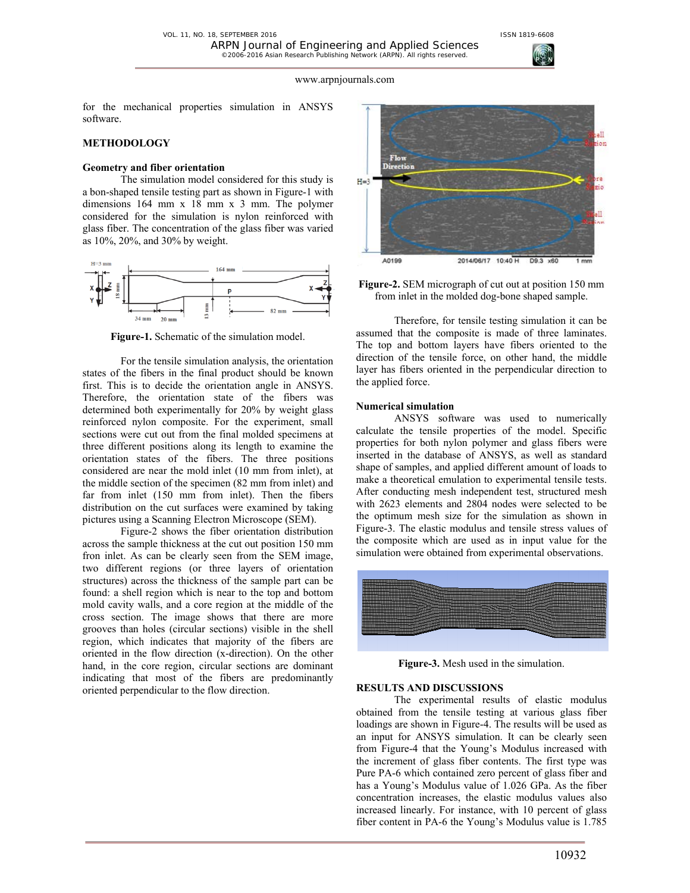

for the mechanical properties simulation in ANSYS software.

### **METHODOLOGY**

# **Geometry and fiber orientation**

The simulation model considered for this study is a bon-shaped tensile testing part as shown in Figure-1 with dimensions 164 mm x 18 mm x 3 mm. The polymer considered for the simulation is nylon reinforced with glass fiber. The concentration of the glass fiber was varied as 10%, 20%, and 30% by weight.



**Figure-1.** Schematic of the simulation model.

For the tensile simulation analysis, the orientation states of the fibers in the final product should be known first. This is to decide the orientation angle in ANSYS. Therefore, the orientation state of the fibers was determined both experimentally for 20% by weight glass reinforced nylon composite. For the experiment, small sections were cut out from the final molded specimens at three different positions along its length to examine the orientation states of the fibers. The three positions considered are near the mold inlet (10 mm from inlet), at the middle section of the specimen (82 mm from inlet) and far from inlet (150 mm from inlet). Then the fibers distribution on the cut surfaces were examined by taking pictures using a Scanning Electron Microscope (SEM).

Figure-2 shows the fiber orientation distribution across the sample thickness at the cut out position 150 mm fron inlet. As can be clearly seen from the SEM image, two different regions (or three layers of orientation structures) across the thickness of the sample part can be found: a shell region which is near to the top and bottom mold cavity walls, and a core region at the middle of the cross section. The image shows that there are more grooves than holes (circular sections) visible in the shell region, which indicates that majority of the fibers are oriented in the flow direction (x-direction). On the other hand, in the core region, circular sections are dominant indicating that most of the fibers are predominantly oriented perpendicular to the flow direction.



**Figure-2.** SEM micrograph of cut out at position 150 mm from inlet in the molded dog-bone shaped sample.

Therefore, for tensile testing simulation it can be assumed that the composite is made of three laminates. The top and bottom layers have fibers oriented to the direction of the tensile force, on other hand, the middle layer has fibers oriented in the perpendicular direction to the applied force.

#### **Numerical simulation**

ANSYS software was used to numerically calculate the tensile properties of the model. Specific properties for both nylon polymer and glass fibers were inserted in the database of ANSYS, as well as standard shape of samples, and applied different amount of loads to make a theoretical emulation to experimental tensile tests. After conducting mesh independent test, structured mesh with 2623 elements and 2804 nodes were selected to be the optimum mesh size for the simulation as shown in Figure-3. The elastic modulus and tensile stress values of the composite which are used as in input value for the simulation were obtained from experimental observations.



**Figure-3.** Mesh used in the simulation.

# **RESULTS AND DISCUSSIONS**

The experimental results of elastic modulus obtained from the tensile testing at various glass fiber loadings are shown in Figure-4. The results will be used as an input for ANSYS simulation. It can be clearly seen from Figure-4 that the Young's Modulus increased with the increment of glass fiber contents. The first type was Pure PA-6 which contained zero percent of glass fiber and has a Young's Modulus value of 1.026 GPa. As the fiber concentration increases, the elastic modulus values also increased linearly. For instance, with 10 percent of glass fiber content in PA-6 the Young's Modulus value is 1.785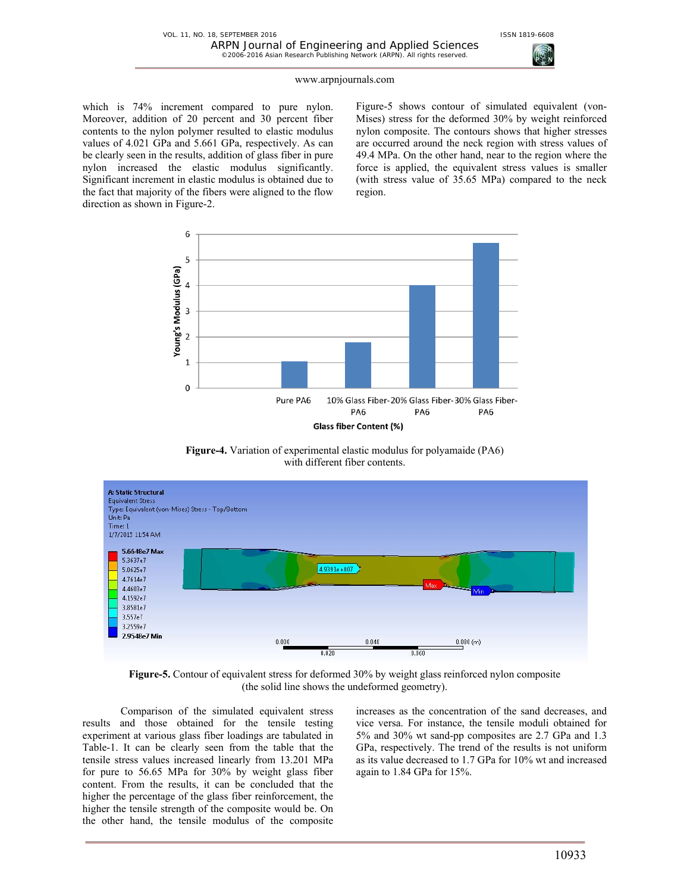

which is 74% increment compared to pure nylon. Moreover, addition of 20 percent and 30 percent fiber contents to the nylon polymer resulted to elastic modulus values of 4.021 GPa and 5.661 GPa, respectively. As can be clearly seen in the results, addition of glass fiber in pure nylon increased the elastic modulus significantly. Significant increment in elastic modulus is obtained due to the fact that majority of the fibers were aligned to the flow direction as shown in Figure-2.

Figure-5 shows contour of simulated equivalent (von-Mises) stress for the deformed 30% by weight reinforced nylon composite. The contours shows that higher stresses are occurred around the neck region with stress values of 49.4 MPa. On the other hand, near to the region where the force is applied, the equivalent stress values is smaller (with stress value of 35.65 MPa) compared to the neck region.



**Figure-4.** Variation of experimental elastic modulus for polyamaide (PA6) with different fiber contents.



**Figure-5.** Contour of equivalent stress for deformed 30% by weight glass reinforced nylon composite (the solid line shows the undeformed geometry).

Comparison of the simulated equivalent stress results and those obtained for the tensile testing experiment at various glass fiber loadings are tabulated in Table-1. It can be clearly seen from the table that the tensile stress values increased linearly from 13.201 MPa for pure to 56.65 MPa for 30% by weight glass fiber content. From the results, it can be concluded that the higher the percentage of the glass fiber reinforcement, the higher the tensile strength of the composite would be. On the other hand, the tensile modulus of the composite

increases as the concentration of the sand decreases, and vice versa. For instance, the tensile moduli obtained for 5% and 30% wt sand-pp composites are 2.7 GPa and 1.3 GPa, respectively. The trend of the results is not uniform as its value decreased to 1.7 GPa for 10% wt and increased again to 1.84 GPa for 15%.